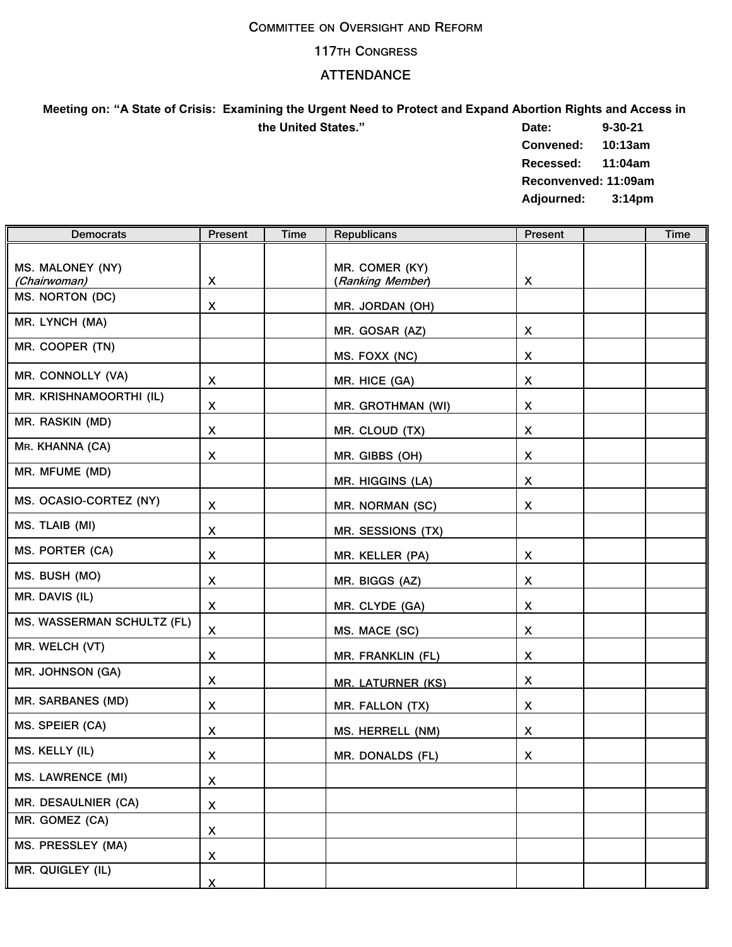## **COMMITTEE ON OVERSIGHT AND REFORM**

## **117TH CONGRESS**

## **ATTENDANCE**

## **Meeting on: "A State of Crisis: Examining the Urgent Need to Protect and Expand Abortion Rights and Access in**

**the United States." Date: 9-30-21 Convened: 10:13am Recessed: 11:04am Reconvenved: 11:09am Adjourned: 3:14pm**

| <b>Democrats</b>                 | Present  | <b>Time</b> | Republicans                        | Present        | <b>Time</b> |
|----------------------------------|----------|-------------|------------------------------------|----------------|-------------|
| MS. MALONEY (NY)<br>(Chairwoman) | X        |             | MR. COMER (KY)<br>(Ranking Member) | X              |             |
| MS. NORTON (DC)                  | X        |             | MR. JORDAN (OH)                    |                |             |
| MR. LYNCH (MA)                   |          |             | MR. GOSAR (AZ)                     | X              |             |
| MR. COOPER (TN)                  |          |             | MS. FOXX (NC)                      | X              |             |
| MR. CONNOLLY (VA)                | X        |             | MR. HICE (GA)                      | X              |             |
| MR. KRISHNAMOORTHI (IL)          | X        |             | MR. GROTHMAN (WI)                  | X              |             |
| MR. RASKIN (MD)                  | X        |             | MR. CLOUD (TX)                     | X              |             |
| MR. KHANNA (CA)                  | X        |             | MR. GIBBS (OH)                     | X              |             |
| MR. MFUME (MD)                   |          |             | MR. HIGGINS (LA)                   | X              |             |
| MS. OCASIO-CORTEZ (NY)           | X        |             | MR. NORMAN (SC)                    | X              |             |
| MS. TLAIB (MI)                   | X        |             | MR. SESSIONS (TX)                  |                |             |
| MS. PORTER (CA)                  | X        |             | MR. KELLER (PA)                    | X              |             |
| MS. BUSH (MO)                    | X        |             | MR. BIGGS (AZ)                     | X              |             |
| MR. DAVIS (IL)                   | X        |             | MR. CLYDE (GA)                     | X              |             |
| MS. WASSERMAN SCHULTZ (FL)       | X        |             | MS. MACE (SC)                      | X              |             |
| MR. WELCH (VT)                   | X        |             | MR. FRANKLIN (FL)                  | $\pmb{\times}$ |             |
| MR. JOHNSON (GA)                 | X        |             | <b>MR. LATURNER (KS)</b>           | X              |             |
| <b>MR. SARBANES (MD)</b>         | X        |             | MR. FALLON (TX)                    | X              |             |
| MS. SPEIER (CA)                  | X        |             | MS. HERRELL (NM)                   | X              |             |
| MS. KELLY (IL)                   | X        |             | <b>MR. DONALDS (FL)</b>            | X              |             |
| <b>MS. LAWRENCE (MI)</b>         | X        |             |                                    |                |             |
| MR. DESAULNIER (CA)              | X        |             |                                    |                |             |
| MR. GOMEZ (CA)                   | X        |             |                                    |                |             |
| MS. PRESSLEY (MA)                | X        |             |                                    |                |             |
| MR. QUIGLEY (IL)                 | <b>X</b> |             |                                    |                |             |